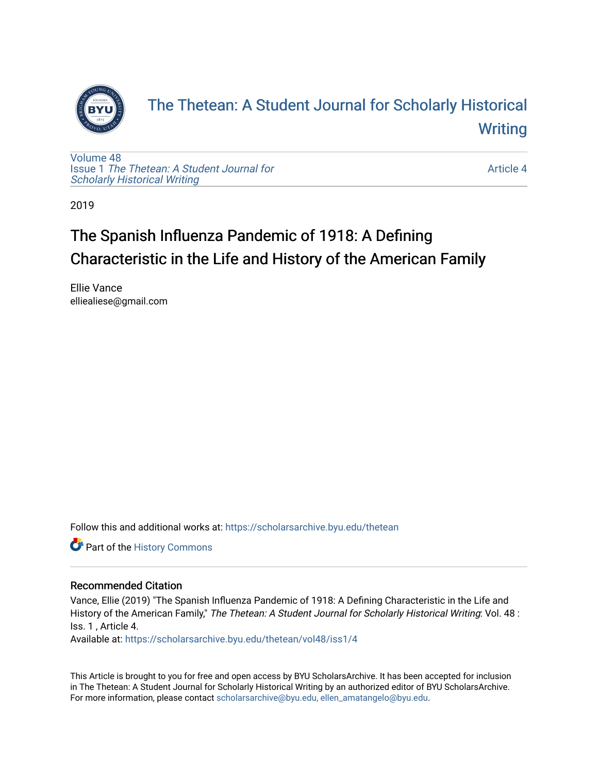

# [The Thetean: A Student Journal for Scholarly Historical](https://scholarsarchive.byu.edu/thetean)  **Writing**

[Volume 48](https://scholarsarchive.byu.edu/thetean/vol48) Issue 1 [The Thetean: A Student Journal for](https://scholarsarchive.byu.edu/thetean/vol48/iss1) [Scholarly Historical Writing](https://scholarsarchive.byu.edu/thetean/vol48/iss1) 

[Article 4](https://scholarsarchive.byu.edu/thetean/vol48/iss1/4) 

2019

# The Spanish Influenza Pandemic of 1918: A Defining Characteristic in the Life and History of the American Family

Ellie Vance elliealiese@gmail.com

Follow this and additional works at: [https://scholarsarchive.byu.edu/thetean](https://scholarsarchive.byu.edu/thetean?utm_source=scholarsarchive.byu.edu%2Fthetean%2Fvol48%2Fiss1%2F4&utm_medium=PDF&utm_campaign=PDFCoverPages)

Part of the [History Commons](http://network.bepress.com/hgg/discipline/489?utm_source=scholarsarchive.byu.edu%2Fthetean%2Fvol48%2Fiss1%2F4&utm_medium=PDF&utm_campaign=PDFCoverPages) 

#### Recommended Citation

Vance, Ellie (2019) "The Spanish Influenza Pandemic of 1918: A Defining Characteristic in the Life and History of the American Family," The Thetean: A Student Journal for Scholarly Historical Writing: Vol. 48 : Iss. 1 , Article 4.

Available at: [https://scholarsarchive.byu.edu/thetean/vol48/iss1/4](https://scholarsarchive.byu.edu/thetean/vol48/iss1/4?utm_source=scholarsarchive.byu.edu%2Fthetean%2Fvol48%2Fiss1%2F4&utm_medium=PDF&utm_campaign=PDFCoverPages)

This Article is brought to you for free and open access by BYU ScholarsArchive. It has been accepted for inclusion in The Thetean: A Student Journal for Scholarly Historical Writing by an authorized editor of BYU ScholarsArchive. For more information, please contact [scholarsarchive@byu.edu, ellen\\_amatangelo@byu.edu](mailto:scholarsarchive@byu.edu,%20ellen_amatangelo@byu.edu).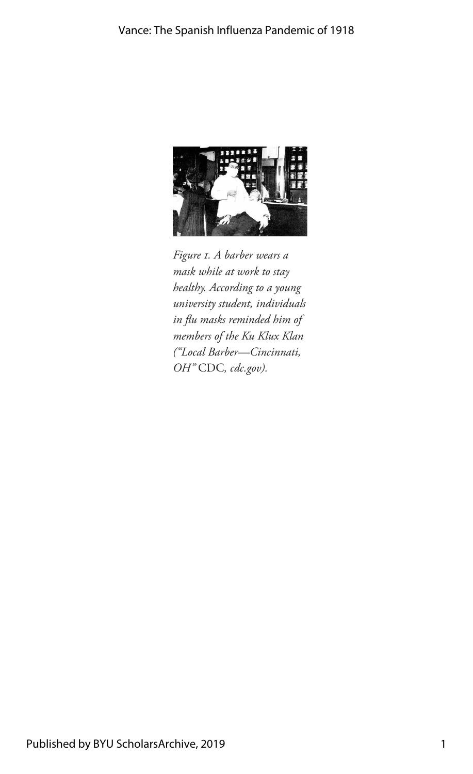

*Figure 1. A barber wears a mask while at work to stay healthy. According to a young university student, individuals in flu masks reminded him of members of the Ku Klux Klan ("Local Barber—Cincinnati, OH"* CDC*, cdc.gov).*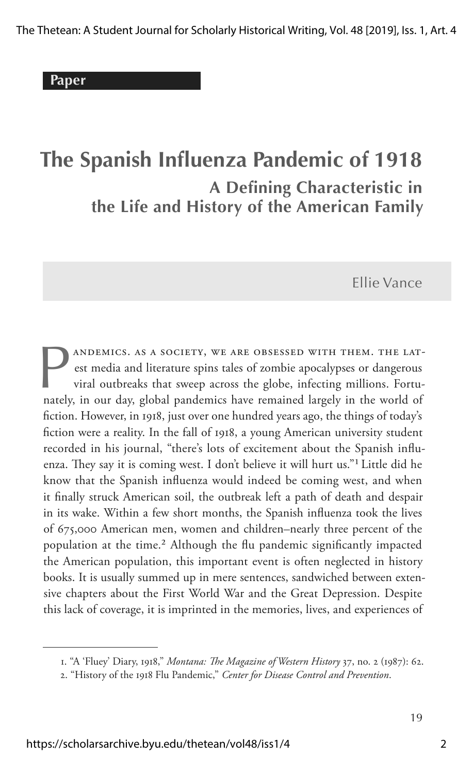**Paper**

## **The Spanish Influenza Pandemic of 1918 A Defining Characteristic in the Life and History of the American Family**

Ellie Vance

ANDEMICS. AS A SOCIETY, WE ARE OBSESSED WITH THEM. THE LAT-<br>est media and literature spins tales of zombie apocalypses or dangerous<br>viral outbreaks that sweep across the globe, infecting millions. Fortu-<br>nately in our day est media and literature spins tales of zombie apocalypses or dangerous viral outbreaks that sweep across the globe, infecting millions. Fortunately, in our day, global pandemics have remained largely in the world of fiction. However, in 1918, just over one hundred years ago, the things of today's fiction were a reality. In the fall of 1918, a young American university student recorded in his journal, "there's lots of excitement about the Spanish influenza. They say it is coming west. I don't believe it will hurt us."1 Little did he know that the Spanish influenza would indeed be coming west, and when it finally struck American soil, the outbreak left a path of death and despair in its wake. Within a few short months, the Spanish influenza took the lives of 675,000 American men, women and children–nearly three percent of the population at the time.2 Although the flu pandemic significantly impacted the American population, this important event is often neglected in history books. It is usually summed up in mere sentences, sandwiched between extensive chapters about the First World War and the Great Depression. Despite this lack of coverage, it is imprinted in the memories, lives, and experiences of

<sup>1. &</sup>quot;A 'Fluey' Diary, 1918," *Montana: The Magazine of Western History* 37, no. 2 (1987): 62.

<sup>2. &</sup>quot;History of the 1918 Flu Pandemic," *Center for Disease Control and Prevention*.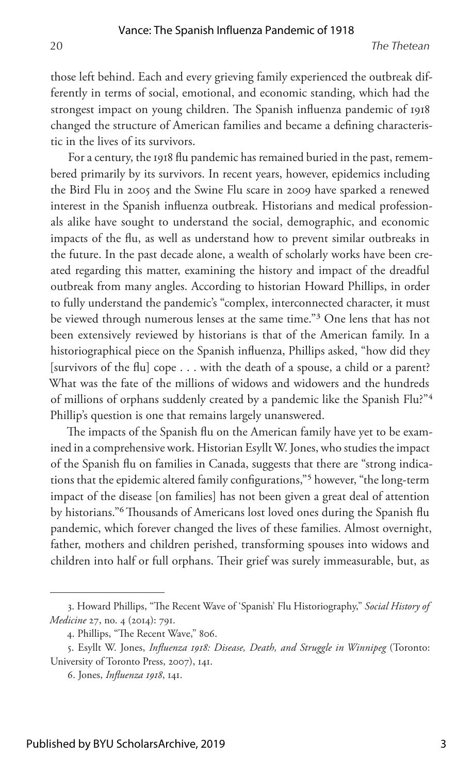those left behind. Each and every grieving family experienced the outbreak differently in terms of social, emotional, and economic standing, which had the strongest impact on young children. The Spanish influenza pandemic of 1918 changed the structure of American families and became a defining characteristic in the lives of its survivors.

For a century, the 1918 flu pandemic has remained buried in the past, remembered primarily by its survivors. In recent years, however, epidemics including the Bird Flu in 2005 and the Swine Flu scare in 2009 have sparked a renewed interest in the Spanish influenza outbreak. Historians and medical professionals alike have sought to understand the social, demographic, and economic impacts of the flu, as well as understand how to prevent similar outbreaks in the future. In the past decade alone, a wealth of scholarly works have been created regarding this matter, examining the history and impact of the dreadful outbreak from many angles. According to historian Howard Phillips, in order to fully understand the pandemic's "complex, interconnected character, it must be viewed through numerous lenses at the same time."3 One lens that has not been extensively reviewed by historians is that of the American family. In a historiographical piece on the Spanish influenza, Phillips asked, "how did they [survivors of the flu] cope . . . with the death of a spouse, a child or a parent? What was the fate of the millions of widows and widowers and the hundreds of millions of orphans suddenly created by a pandemic like the Spanish Flu?"4 Phillip's question is one that remains largely unanswered.

The impacts of the Spanish flu on the American family have yet to be examined in a comprehensive work. Historian Esyllt W. Jones, who studies the impact of the Spanish flu on families in Canada, suggests that there are "strong indications that the epidemic altered family configurations,"5 however, "the long-term impact of the disease [on families] has not been given a great deal of attention by historians."6Thousands of Americans lost loved ones during the Spanish flu pandemic, which forever changed the lives of these families. Almost overnight, father, mothers and children perished, transforming spouses into widows and children into half or full orphans. Their grief was surely immeasurable, but, as

<sup>3.</sup> Howard Phillips, "The Recent Wave of 'Spanish' Flu Historiography," *Social History of Medicine* 27, no. 4 (2014): 791.

<sup>4.</sup> Phillips, "The Recent Wave," 806.

<sup>5.</sup> Esyllt W. Jones, *Influenza 1918: Disease, Death, and Struggle in Winnipeg* (Toronto: University of Toronto Press, 2007), 141.

<sup>6.</sup> Jones, *Influenza 1918*, 141.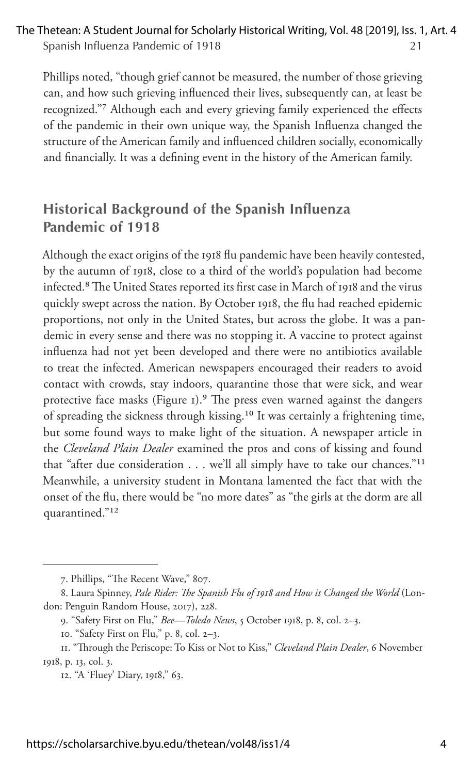Phillips noted, "though grief cannot be measured, the number of those grieving can, and how such grieving influenced their lives, subsequently can, at least be recognized."7 Although each and every grieving family experienced the effects of the pandemic in their own unique way, the Spanish Influenza changed the structure of the American family and influenced children socially, economically and financially. It was a defining event in the history of the American family.

### **Historical Background of the Spanish Influenza Pandemic of 1918**

Although the exact origins of the 1918 flu pandemic have been heavily contested, by the autumn of 1918, close to a third of the world's population had become infected.8 The United States reported its first case in March of 1918 and the virus quickly swept across the nation. By October 1918, the flu had reached epidemic proportions, not only in the United States, but across the globe. It was a pandemic in every sense and there was no stopping it. A vaccine to protect against influenza had not yet been developed and there were no antibiotics available to treat the infected. American newspapers encouraged their readers to avoid contact with crowds, stay indoors, quarantine those that were sick, and wear protective face masks (Figure 1).<sup>9</sup> The press even warned against the dangers of spreading the sickness through kissing.10 It was certainly a frightening time, but some found ways to make light of the situation. A newspaper article in the *Cleveland Plain Dealer* examined the pros and cons of kissing and found that "after due consideration . . . we'll all simply have to take our chances."11 Meanwhile, a university student in Montana lamented the fact that with the onset of the flu, there would be "no more dates" as "the girls at the dorm are all quarantined."12

<sup>7.</sup> Phillips, "The Recent Wave," 807.

<sup>8.</sup> Laura Spinney, *Pale Rider: The Spanish Flu of 1918 and How it Changed the World* (London: Penguin Random House, 2017), 228.

<sup>9. &</sup>quot;Safety First on Flu," *Bee—Toledo News*, 5 October 1918, p. 8, col. 2–3.

<sup>10. &</sup>quot;Safety First on Flu," p. 8, col. 2–3.

<sup>11. &</sup>quot;Through the Periscope: To Kiss or Not to Kiss," *Cleveland Plain Dealer*, 6 November 1918, p. 13, col. 3.

<sup>12. &</sup>quot;A 'Fluey' Diary, 1918," 63.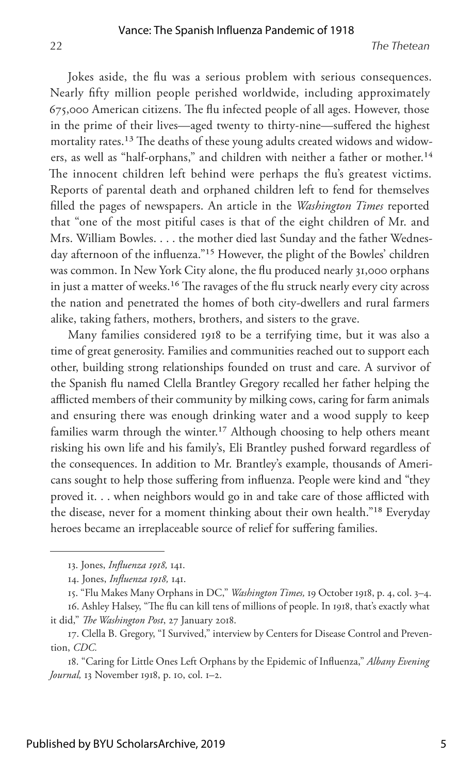Jokes aside, the flu was a serious problem with serious consequences. Nearly fifty million people perished worldwide, including approximately 675,000 American citizens. The flu infected people of all ages. However, those in the prime of their lives—aged twenty to thirty-nine—suffered the highest mortality rates.13 The deaths of these young adults created widows and widowers, as well as "half-orphans," and children with neither a father or mother.<sup>14</sup> The innocent children left behind were perhaps the flu's greatest victims. Reports of parental death and orphaned children left to fend for themselves filled the pages of newspapers. An article in the *Washington Times* reported that "one of the most pitiful cases is that of the eight children of Mr. and Mrs. William Bowles. . . . the mother died last Sunday and the father Wednesday afternoon of the influenza."15 However, the plight of the Bowles' children was common. In New York City alone, the flu produced nearly 31,000 orphans in just a matter of weeks.<sup>16</sup> The ravages of the flu struck nearly every city across the nation and penetrated the homes of both city-dwellers and rural farmers alike, taking fathers, mothers, brothers, and sisters to the grave.

Many families considered 1918 to be a terrifying time, but it was also a time of great generosity. Families and communities reached out to support each other, building strong relationships founded on trust and care. A survivor of the Spanish flu named Clella Brantley Gregory recalled her father helping the afflicted members of their community by milking cows, caring for farm animals and ensuring there was enough drinking water and a wood supply to keep families warm through the winter.<sup>17</sup> Although choosing to help others meant risking his own life and his family's, Eli Brantley pushed forward regardless of the consequences. In addition to Mr. Brantley's example, thousands of Americans sought to help those suffering from influenza. People were kind and "they proved it. . . when neighbors would go in and take care of those afflicted with the disease, never for a moment thinking about their own health."18 Everyday heroes became an irreplaceable source of relief for suffering families.

<sup>13.</sup> Jones, *Influenza 1918,* 141.

<sup>14.</sup> Jones, *Influenza 1918,* 141.

<sup>15. &</sup>quot;Flu Makes Many Orphans in DC," *Washington Times,* 19 October 1918, p. 4, col. 3–4.

<sup>16.</sup> Ashley Halsey, "The flu can kill tens of millions of people. In 1918, that's exactly what it did," *The Washington Post*, 27 January 2018.

<sup>17.</sup> Clella B. Gregory, "I Survived," interview by Centers for Disease Control and Prevention, *CDC.*

<sup>18. &</sup>quot;Caring for Little Ones Left Orphans by the Epidemic of Influenza," *Albany Evening Journal,* 13 November 1918, p. 10, col. 1–2.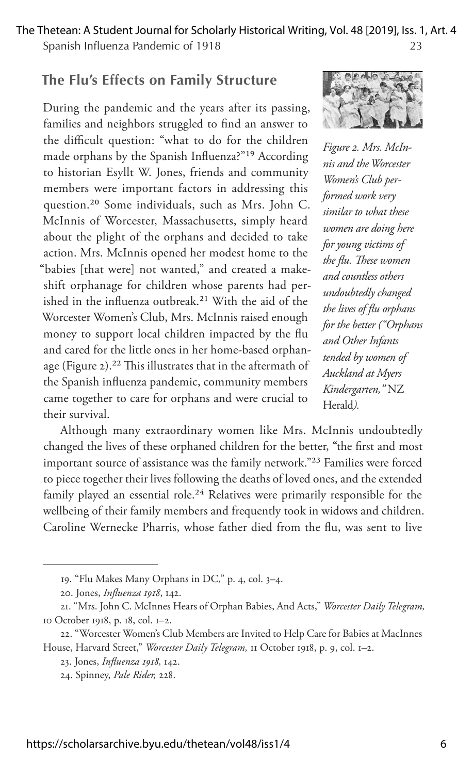Spanish Influenza Pandemic of 1918 23 The Thetean: A Student Journal for Scholarly Historical Writing, Vol. 48 [2019], Iss. 1, Art. 4

#### **The Flu's Effects on Family Structure**

During the pandemic and the years after its passing, families and neighbors struggled to find an answer to the difficult question: "what to do for the children made orphans by the Spanish Influenza?"19 According to historian Esyllt W. Jones, friends and community members were important factors in addressing this question.20 Some individuals, such as Mrs. John C. McInnis of Worcester, Massachusetts, simply heard about the plight of the orphans and decided to take action. Mrs. McInnis opened her modest home to the "babies [that were] not wanted," and created a makeshift orphanage for children whose parents had perished in the influenza outbreak.<sup>21</sup> With the aid of the Worcester Women's Club, Mrs. McInnis raised enough money to support local children impacted by the flu and cared for the little ones in her home-based orphanage (Figure 2).<sup>22</sup> This illustrates that in the aftermath of the Spanish influenza pandemic, community members came together to care for orphans and were crucial to their survival.



*Figure 2. Mrs. McInnis and the Worcester Women's Club performed work very similar to what these women are doing here for young victims of the flu. These women and countless others undoubtedly changed the lives of flu orphans for the better ("Orphans and Other Infants tended by women of Auckland at Myers Kindergarten,"* NZ Herald*).*

Although many extraordinary women like Mrs. McInnis undoubtedly changed the lives of these orphaned children for the better, "the first and most important source of assistance was the family network."23 Families were forced to piece together their lives following the deaths of loved ones, and the extended family played an essential role.<sup>24</sup> Relatives were primarily responsible for the wellbeing of their family members and frequently took in widows and children. Caroline Wernecke Pharris, whose father died from the flu, was sent to live

<sup>19. &</sup>quot;Flu Makes Many Orphans in DC," p. 4, col. 3–4.

<sup>20.</sup> Jones, *Influenza 1918*, 142.

<sup>21. &</sup>quot;Mrs. John C. McInnes Hears of Orphan Babies, And Acts," *Worcester Daily Telegram,*  10 October 1918, p. 18, col. 1–2.

<sup>22. &</sup>quot;Worcester Women's Club Members are Invited to Help Care for Babies at MacInnes House, Harvard Street," *Worcester Daily Telegram,* 11 October 1918, p. 9, col. 1–2.

<sup>23.</sup> Jones, *Influenza 1918,* 142.

<sup>24.</sup> Spinney, *Pale Rider,* 228.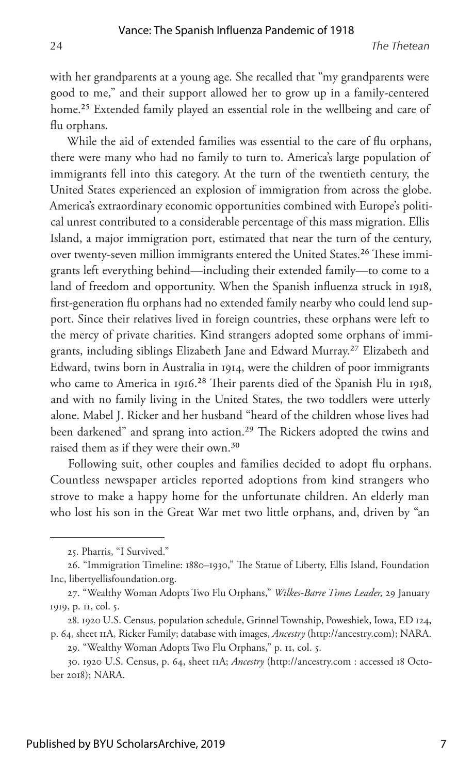with her grandparents at a young age. She recalled that "my grandparents were good to me," and their support allowed her to grow up in a family-centered home.<sup>25</sup> Extended family played an essential role in the wellbeing and care of flu orphans.

While the aid of extended families was essential to the care of flu orphans, there were many who had no family to turn to. America's large population of immigrants fell into this category. At the turn of the twentieth century, the United States experienced an explosion of immigration from across the globe. America's extraordinary economic opportunities combined with Europe's political unrest contributed to a considerable percentage of this mass migration. Ellis Island, a major immigration port, estimated that near the turn of the century, over twenty-seven million immigrants entered the United States.<sup>26</sup> These immigrants left everything behind—including their extended family—to come to a land of freedom and opportunity. When the Spanish influenza struck in 1918, first-generation flu orphans had no extended family nearby who could lend support. Since their relatives lived in foreign countries, these orphans were left to the mercy of private charities. Kind strangers adopted some orphans of immigrants, including siblings Elizabeth Jane and Edward Murray.27 Elizabeth and Edward, twins born in Australia in 1914, were the children of poor immigrants who came to America in 1916.<sup>28</sup> Their parents died of the Spanish Flu in 1918, and with no family living in the United States, the two toddlers were utterly alone. Mabel J. Ricker and her husband "heard of the children whose lives had been darkened" and sprang into action.<sup>29</sup> The Rickers adopted the twins and raised them as if they were their own.30

Following suit, other couples and families decided to adopt flu orphans. Countless newspaper articles reported adoptions from kind strangers who strove to make a happy home for the unfortunate children. An elderly man who lost his son in the Great War met two little orphans, and, driven by "an

<sup>25.</sup> Pharris, "I Survived."

<sup>26. &</sup>quot;Immigration Timeline: 1880–1930," The Statue of Liberty, Ellis Island, Foundation Inc, libertyellisfoundation.org.

<sup>27. &</sup>quot;Wealthy Woman Adopts Two Flu Orphans," *Wilkes-Barre Times Leader,* 29 January 1919, p. 11, col. 5.

<sup>28. 1920</sup> U.S. Census, population schedule, Grinnel Township, Poweshiek, Iowa, ED 124, p. 64, sheet 11A, Ricker Family; database with images, *Ancestry* (http://ancestry.com); NARA.

<sup>29. &</sup>quot;Wealthy Woman Adopts Two Flu Orphans," p. 11, col. 5.

<sup>30. 1920</sup> U.S. Census, p. 64, sheet 11A; *Ancestry* (http://ancestry.com : accessed 18 October 2018); NARA.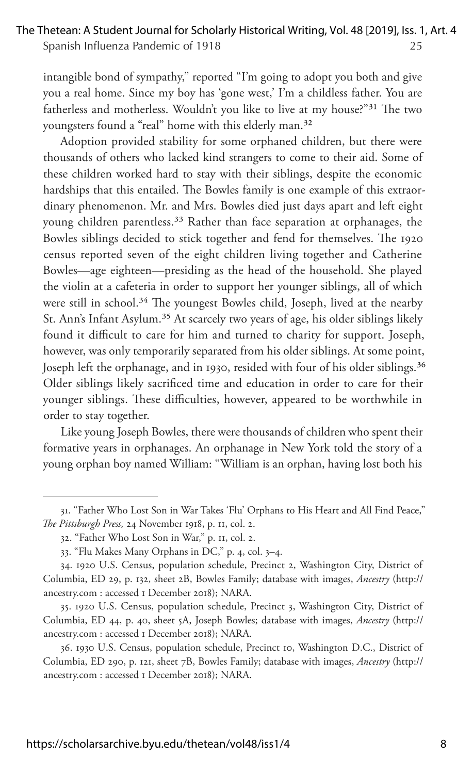intangible bond of sympathy," reported "I'm going to adopt you both and give you a real home. Since my boy has 'gone west,' I'm a childless father. You are fatherless and motherless. Wouldn't you like to live at my house?"<sup>31</sup> The two youngsters found a "real" home with this elderly man.32

Adoption provided stability for some orphaned children, but there were thousands of others who lacked kind strangers to come to their aid. Some of these children worked hard to stay with their siblings, despite the economic hardships that this entailed. The Bowles family is one example of this extraordinary phenomenon. Mr. and Mrs. Bowles died just days apart and left eight young children parentless.<sup>33</sup> Rather than face separation at orphanages, the Bowles siblings decided to stick together and fend for themselves. The 1920 census reported seven of the eight children living together and Catherine Bowles—age eighteen—presiding as the head of the household. She played the violin at a cafeteria in order to support her younger siblings, all of which were still in school.<sup>34</sup> The youngest Bowles child, Joseph, lived at the nearby St. Ann's Infant Asylum.35 At scarcely two years of age, his older siblings likely found it difficult to care for him and turned to charity for support. Joseph, however, was only temporarily separated from his older siblings. At some point, Joseph left the orphanage, and in 1930, resided with four of his older siblings.<sup>36</sup> Older siblings likely sacrificed time and education in order to care for their younger siblings. These difficulties, however, appeared to be worthwhile in order to stay together.

Like young Joseph Bowles, there were thousands of children who spent their formative years in orphanages. An orphanage in New York told the story of a young orphan boy named William: "William is an orphan, having lost both his

35. 1920 U.S. Census, population schedule, Precinct 3, Washington City, District of Columbia, ED 44, p. 40, sheet 5A, Joseph Bowles; database with images, *Ancestry* (http:// ancestry.com : accessed 1 December 2018); NARA.

<sup>31. &</sup>quot;Father Who Lost Son in War Takes 'Flu' Orphans to His Heart and All Find Peace," *The Pittsburgh Press,* 24 November 1918, p. 11, col. 2.

<sup>32. &</sup>quot;Father Who Lost Son in War," p. 11, col. 2.

<sup>33. &</sup>quot;Flu Makes Many Orphans in DC," p. 4, col. 3–4.

<sup>34. 1920</sup> U.S. Census, population schedule, Precinct 2, Washington City, District of Columbia, ED 29, p. 132, sheet 2B, Bowles Family; database with images, *Ancestry* (http:// ancestry.com : accessed 1 December 2018); NARA.

<sup>36. 1930</sup> U.S. Census, population schedule, Precinct 10, Washington D.C., District of Columbia, ED 290, p. 121, sheet 7B, Bowles Family; database with images, *Ancestry* (http:// ancestry.com : accessed 1 December 2018); NARA.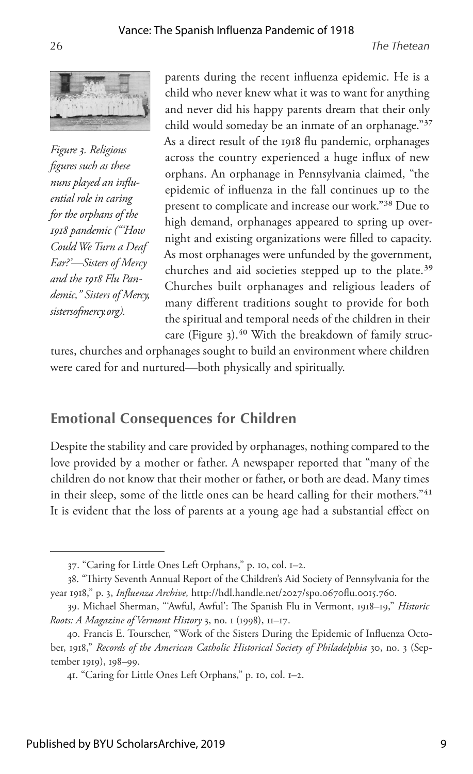

*Figure 3. Religious figures such as these nuns played an influential role in caring for the orphans of the 1918 pandemic ("'How Could We Turn a Deaf Ear?'—Sisters of Mercy and the 1918 Flu Pandemic," Sisters of Mercy, sistersofmercy.org).*

parents during the recent influenza epidemic. He is a child who never knew what it was to want for anything and never did his happy parents dream that their only child would someday be an inmate of an orphanage."37 As a direct result of the 1918 flu pandemic, orphanages across the country experienced a huge influx of new orphans. An orphanage in Pennsylvania claimed, "the epidemic of influenza in the fall continues up to the present to complicate and increase our work."38 Due to high demand, orphanages appeared to spring up overnight and existing organizations were filled to capacity. As most orphanages were unfunded by the government, churches and aid societies stepped up to the plate.39 Churches built orphanages and religious leaders of many different traditions sought to provide for both the spiritual and temporal needs of the children in their care (Figure 3).<sup>40</sup> With the breakdown of family struc-

tures, churches and orphanages sought to build an environment where children were cared for and nurtured—both physically and spiritually.

#### **Emotional Consequences for Children**

Despite the stability and care provided by orphanages, nothing compared to the love provided by a mother or father. A newspaper reported that "many of the children do not know that their mother or father, or both are dead. Many times in their sleep, some of the little ones can be heard calling for their mothers."<sup>41</sup> It is evident that the loss of parents at a young age had a substantial effect on

<sup>37. &</sup>quot;Caring for Little Ones Left Orphans," p. 10, col. 1–2.

<sup>38. &</sup>quot;Thirty Seventh Annual Report of the Children's Aid Society of Pennsylvania for the year 1918," p. 3, *Influenza Archive,* http://hdl.handle.net/2027/spo.0670flu.0015.760.

<sup>39.</sup> Michael Sherman, "'Awful, Awful': The Spanish Flu in Vermont, 1918–19," *Historic Roots: A Magazine of Vermont History* 3, no. 1 (1998), 11–17.

<sup>40.</sup> Francis E. Tourscher, "Work of the Sisters During the Epidemic of Influenza October, 1918," *Records of the American Catholic Historical Society of Philadelphia* 30, no. 3 (September 1919), 198–99.

<sup>41. &</sup>quot;Caring for Little Ones Left Orphans," p. 10, col. 1–2.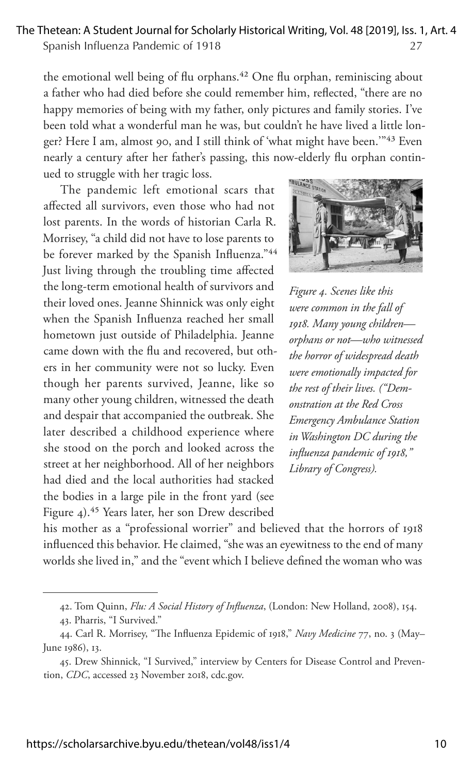#### Spanish Influenza Pandemic of 1918 27 The Thetean: A Student Journal for Scholarly Historical Writing, Vol. 48 [2019], Iss. 1, Art. 4

the emotional well being of flu orphans.<sup>42</sup> One flu orphan, reminiscing about a father who had died before she could remember him, reflected, "there are no happy memories of being with my father, only pictures and family stories. I've been told what a wonderful man he was, but couldn't he have lived a little longer? Here I am, almost 90, and I still think of 'what might have been.'"43 Even nearly a century after her father's passing, this now-elderly flu orphan continued to struggle with her tragic loss.

The pandemic left emotional scars that affected all survivors, even those who had not lost parents. In the words of historian Carla R. Morrisey, "a child did not have to lose parents to be forever marked by the Spanish Influenza."44 Just living through the troubling time affected the long-term emotional health of survivors and their loved ones. Jeanne Shinnick was only eight when the Spanish Influenza reached her small hometown just outside of Philadelphia. Jeanne came down with the flu and recovered, but others in her community were not so lucky. Even though her parents survived, Jeanne, like so many other young children, witnessed the death and despair that accompanied the outbreak. She later described a childhood experience where she stood on the porch and looked across the street at her neighborhood. All of her neighbors had died and the local authorities had stacked the bodies in a large pile in the front yard (see Figure 4).45 Years later, her son Drew described



*Figure 4. Scenes like this were common in the fall of 1918. Many young children orphans or not—who witnessed the horror of widespread death were emotionally impacted for the rest of their lives. ("Demonstration at the Red Cross Emergency Ambulance Station in Washington DC during the influenza pandemic of 1918," Library of Congress).*

his mother as a "professional worrier" and believed that the horrors of 1918 influenced this behavior. He claimed, "she was an eyewitness to the end of many worlds she lived in," and the "event which I believe defined the woman who was

<sup>42.</sup> Tom Quinn, *Flu: A Social History of Influenza*, (London: New Holland, 2008), 154. 43. Pharris, "I Survived."

<sup>44.</sup> Carl R. Morrisey, "The Influenza Epidemic of 1918," *Navy Medicine* 77, no. 3 (May– June 1986), 13.

<sup>45.</sup> Drew Shinnick, "I Survived," interview by Centers for Disease Control and Prevention, *CDC*, accessed 23 November 2018, cdc.gov.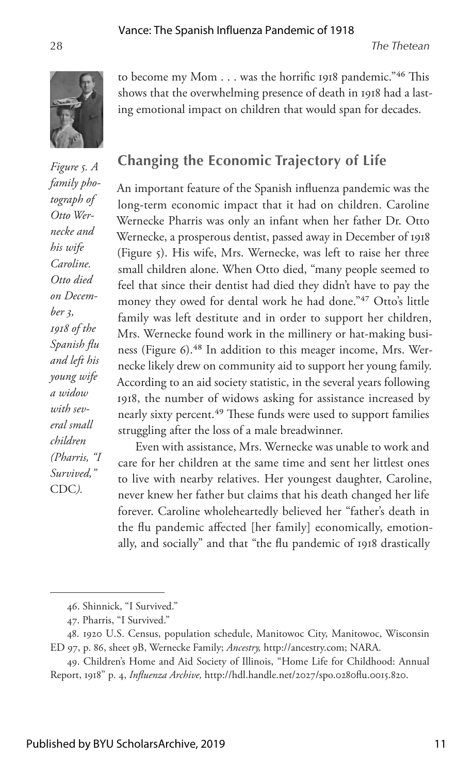

*Figure 5. A family photograph of Otto Wernecke and his wife Caroline. Otto died on December 3, 1918 of the Spanish flu and left his young wife a widow with several small children (Pharris, "I Survived,"*  CDC*).*

to become my Mom . . . was the horrific 1918 pandemic."<sup>46</sup> This shows that the overwhelming presence of death in 1918 had a lasting emotional impact on children that would span for decades.

### **Changing the Economic Trajectory of Life**

An important feature of the Spanish influenza pandemic was the long-term economic impact that it had on children. Caroline Wernecke Pharris was only an infant when her father Dr. Otto Wernecke, a prosperous dentist, passed away in December of 1918 (Figure 5). His wife, Mrs. Wernecke, was left to raise her three small children alone. When Otto died, "many people seemed to feel that since their dentist had died they didn't have to pay the money they owed for dental work he had done."47 Otto's little family was left destitute and in order to support her children, Mrs. Wernecke found work in the millinery or hat-making business (Figure 6).48 In addition to this meager income, Mrs. Wernecke likely drew on community aid to support her young family. According to an aid society statistic, in the several years following 1918, the number of widows asking for assistance increased by nearly sixty percent.49 These funds were used to support families struggling after the loss of a male breadwinner.

Even with assistance, Mrs. Wernecke was unable to work and care for her children at the same time and sent her littlest ones to live with nearby relatives. Her youngest daughter, Caroline, never knew her father but claims that his death changed her life forever. Caroline wholeheartedly believed her "father's death in the flu pandemic affected [her family] economically, emotionally, and socially" and that "the flu pandemic of 1918 drastically

<sup>46.</sup> Shinnick, "I Survived."

<sup>47.</sup> Pharris, "I Survived."

<sup>48. 1920</sup> U.S. Census, population schedule, Manitowoc City, Manitowoc, Wisconsin ED 97, p. 86, sheet 9B, Wernecke Family; *Ancestry,* http://ancestry.com; NARA.

<sup>49.</sup> Children's Home and Aid Society of Illinois, "Home Life for Childhood: Annual Report, 1918" p. 4, *Influenza Archive,* http://hdl.handle.net/2027/spo.0280flu.0015.820.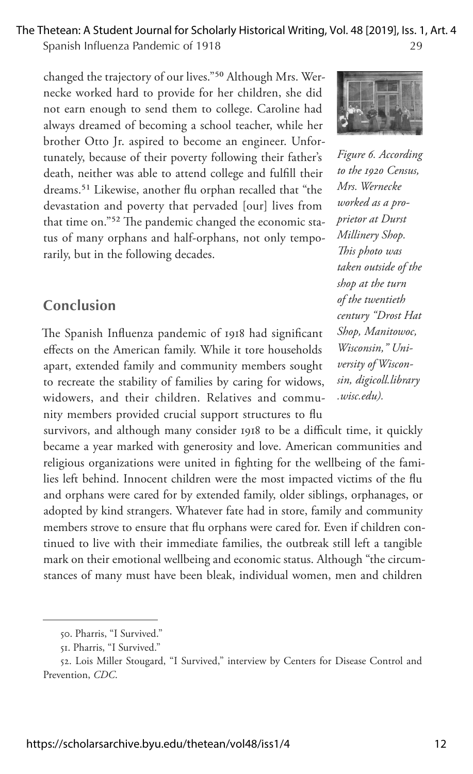#### Spanish Influenza Pandemic of 1918 29 The Thetean: A Student Journal for Scholarly Historical Writing, Vol. 48 [2019], Iss. 1, Art. 4

changed the trajectory of our lives."50 Although Mrs. Wernecke worked hard to provide for her children, she did not earn enough to send them to college. Caroline had always dreamed of becoming a school teacher, while her brother Otto Jr. aspired to become an engineer. Unfortunately, because of their poverty following their father's death, neither was able to attend college and fulfill their dreams.51 Likewise, another flu orphan recalled that "the devastation and poverty that pervaded [our] lives from that time on."52 The pandemic changed the economic status of many orphans and half-orphans, not only temporarily, but in the following decades.

#### **Conclusion**

The Spanish Influenza pandemic of 1918 had significant effects on the American family. While it tore households apart, extended family and community members sought to recreate the stability of families by caring for widows, widowers, and their children. Relatives and community members provided crucial support structures to flu

survivors, and although many consider 1918 to be a difficult time, it quickly became a year marked with generosity and love. American communities and religious organizations were united in fighting for the wellbeing of the families left behind. Innocent children were the most impacted victims of the flu and orphans were cared for by extended family, older siblings, orphanages, or adopted by kind strangers. Whatever fate had in store, family and community members strove to ensure that flu orphans were cared for. Even if children continued to live with their immediate families, the outbreak still left a tangible mark on their emotional wellbeing and economic status. Although "the circumstances of many must have been bleak, individual women, men and children



*Figure 6. According to the 1920 Census, Mrs. Wernecke worked as a proprietor at Durst Millinery Shop. This photo was taken outside of the shop at the turn of the twentieth century "Drost Hat Shop, Manitowoc, Wisconsin," University of Wisconsin, digicoll.library .wisc.edu).*

<sup>50.</sup> Pharris, "I Survived."

<sup>51.</sup> Pharris, "I Survived."

<sup>52.</sup> Lois Miller Stougard, "I Survived," interview by Centers for Disease Control and Prevention, *CDC*.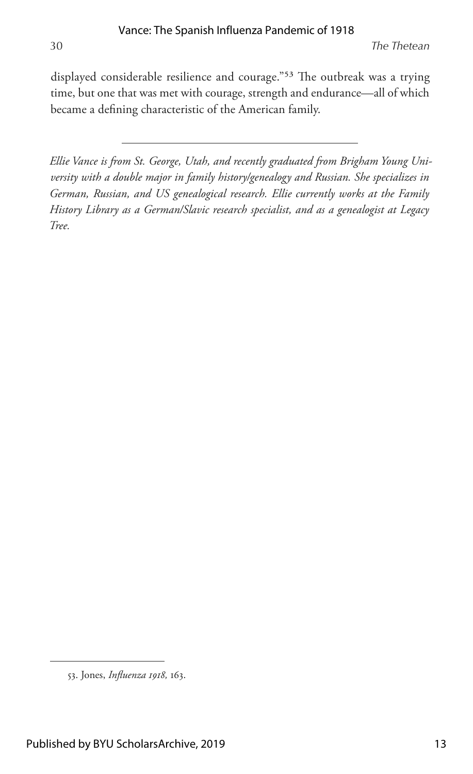displayed considerable resilience and courage."<sup>53</sup> The outbreak was a trying time, but one that was met with courage, strength and endurance—all of which became a defining characteristic of the American family.

*Ellie Vance is from St. George, Utah, and recently graduated from Brigham Young University with a double major in family history/genealogy and Russian. She specializes in German, Russian, and US genealogical research. Ellie currently works at the Family History Library as a German/Slavic research specialist, and as a genealogist at Legacy Tree.*

<sup>53.</sup> Jones, *Influenza 1918,* 163.